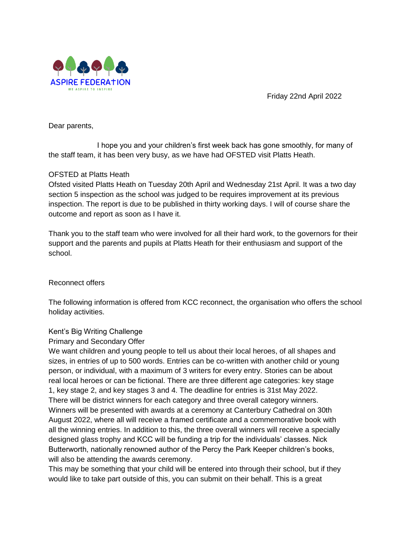

Friday 22nd April 2022

Dear parents,

I hope you and your children's first week back has gone smoothly, for many of the staff team, it has been very busy, as we have had OFSTED visit Platts Heath.

# OFSTED at Platts Heath

Ofsted visited Platts Heath on Tuesday 20th April and Wednesday 21st April. It was a two day section 5 inspection as the school was judged to be requires improvement at its previous inspection. The report is due to be published in thirty working days. I will of course share the outcome and report as soon as I have it.

Thank you to the staff team who were involved for all their hard work, to the governors for their support and the parents and pupils at Platts Heath for their enthusiasm and support of the school.

# Reconnect offers

The following information is offered from KCC reconnect, the organisation who offers the school holiday activities.

# Kent's Big Writing Challenge

Primary and Secondary Offer

We want children and young people to tell us about their local heroes, of all shapes and sizes, in entries of up to 500 words. Entries can be co-written with another child or young person, or individual, with a maximum of 3 writers for every entry. Stories can be about real local heroes or can be fictional. There are three different age categories: key stage 1, key stage 2, and key stages 3 and 4. The deadline for entries is 31st May 2022. There will be district winners for each category and three overall category winners. Winners will be presented with awards at a ceremony at Canterbury Cathedral on 30th August 2022, where all will receive a framed certificate and a commemorative book with all the winning entries. In addition to this, the three overall winners will receive a specially designed glass trophy and KCC will be funding a trip for the individuals' classes. Nick Butterworth, nationally renowned author of the Percy the Park Keeper children's books, will also be attending the awards ceremony.

This may be something that your child will be entered into through their school, but if they would like to take part outside of this, you can submit on their behalf. This is a great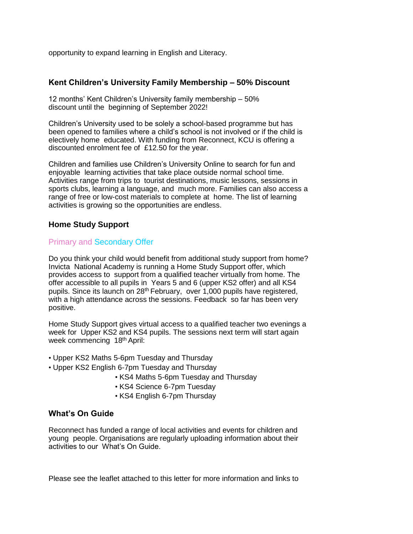opportunity to expand learning in English and Literacy.

### **Kent Children's University Family Membership – 50% Discount**

12 months' Kent Children's University family membership – 50% discount until the beginning of September 2022!

Children's University used to be solely a school-based programme but has been opened to families where a child's school is not involved or if the child is electively home educated. With funding from Reconnect, KCU is offering a discounted enrolment fee of £12.50 for the year.

Children and families use Children's University Online to search for fun and enjoyable learning activities that take place outside normal school time. Activities range from trips to tourist destinations, music lessons, sessions in sports clubs, learning a language, and much more. Families can also access a range of free or low-cost materials to complete at home. The list of learning activities is growing so the opportunities are endless.

### **Home Study Support**

#### Primary and Secondary Offer

Do you think your child would benefit from additional study support from home? Invicta National Academy is running a Home Study Support offer, which provides access to support from a qualified teacher virtually from home. The offer accessible to all pupils in Years 5 and 6 (upper KS2 offer) and all KS4 pupils. Since its launch on 28<sup>th</sup> February, over 1,000 pupils have registered, with a high attendance across the sessions. Feedback so far has been very positive.

Home Study Support gives virtual access to a qualified teacher two evenings a week for Upper KS2 and KS4 pupils. The sessions next term will start again week commencing 18th April:

- Upper KS2 Maths 5-6pm Tuesday and Thursday
- Upper KS2 English 6-7pm Tuesday and Thursday
	- KS4 Maths 5-6pm Tuesday and Thursday
	- KS4 Science 6-7pm Tuesday
	- KS4 English 6-7pm Thursday

#### **What's On Guide**

Reconnect has funded a range of local activities and events for children and young people. Organisations are regularly uploading information about their activities to our What's On Guide.

Please see the leaflet attached to this letter for more information and links to